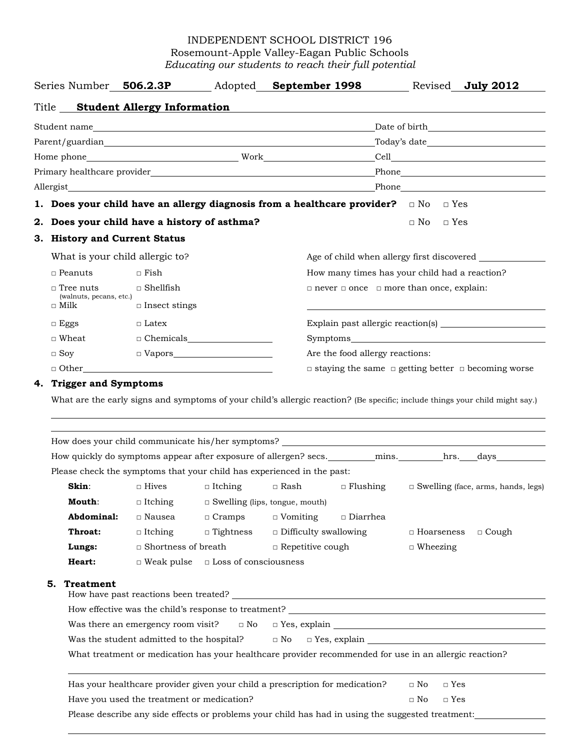## INDEPENDENT SCHOOL DISTRICT 196 Rosemount-Apple Valley-Eagan Public Schools *Educating our students to reach their full potential*

|                                        |                                                                                                                              |  |                                                                                                                                                                                                                               | Series Number 506.2.3P Adopted September 1998 Revised July 2012                                                                                                                                                                |  |  |  |
|----------------------------------------|------------------------------------------------------------------------------------------------------------------------------|--|-------------------------------------------------------------------------------------------------------------------------------------------------------------------------------------------------------------------------------|--------------------------------------------------------------------------------------------------------------------------------------------------------------------------------------------------------------------------------|--|--|--|
|                                        | Title Student Allergy Information                                                                                            |  |                                                                                                                                                                                                                               |                                                                                                                                                                                                                                |  |  |  |
|                                        |                                                                                                                              |  |                                                                                                                                                                                                                               |                                                                                                                                                                                                                                |  |  |  |
|                                        |                                                                                                                              |  |                                                                                                                                                                                                                               |                                                                                                                                                                                                                                |  |  |  |
|                                        |                                                                                                                              |  |                                                                                                                                                                                                                               |                                                                                                                                                                                                                                |  |  |  |
|                                        |                                                                                                                              |  |                                                                                                                                                                                                                               | Primary healthcare provider and the contract of the contract of the contract of the contract of the contract of the contract of the contract of the contract of the contract of the contract of the contract of the contract o |  |  |  |
|                                        |                                                                                                                              |  | Allergist and the contract of the contract of the contract of the contract of the contract of the contract of the contract of the contract of the contract of the contract of the contract of the contract of the contract of | Phone and the state of the state of the state of the state of the state of the state of the state of the state of the state of the state of the state of the state of the state of the state of the state of the state of the  |  |  |  |
|                                        |                                                                                                                              |  | 1. Does your child have an allergy diagnosis from a healthcare provider? $\Box$ No $\Box$ Yes                                                                                                                                 |                                                                                                                                                                                                                                |  |  |  |
|                                        | 2. Does your child have a history of asthma?                                                                                 |  |                                                                                                                                                                                                                               | $\sqcap$ Yes<br>$\Box$ No                                                                                                                                                                                                      |  |  |  |
|                                        | 3. History and Current Status                                                                                                |  |                                                                                                                                                                                                                               |                                                                                                                                                                                                                                |  |  |  |
|                                        | What is your child allergic to?                                                                                              |  |                                                                                                                                                                                                                               | Age of child when allergy first discovered                                                                                                                                                                                     |  |  |  |
| $\Box$ Peanuts                         | $\Box$ Fish                                                                                                                  |  |                                                                                                                                                                                                                               | How many times has your child had a reaction?                                                                                                                                                                                  |  |  |  |
| $\Box$ Tree nuts                       | $\square$ Shellfish                                                                                                          |  |                                                                                                                                                                                                                               | $\Box$ never $\Box$ once $\Box$ more than once, explain:                                                                                                                                                                       |  |  |  |
| (walnuts, pecans, etc.)<br>$\Box$ Milk | $\Box$ Insect stings                                                                                                         |  |                                                                                                                                                                                                                               |                                                                                                                                                                                                                                |  |  |  |
| $\Box$ Eggs                            | $\Box$ Latex                                                                                                                 |  |                                                                                                                                                                                                                               | Explain past allergic reaction(s)                                                                                                                                                                                              |  |  |  |
| $\square$ Wheat                        |                                                                                                                              |  |                                                                                                                                                                                                                               |                                                                                                                                                                                                                                |  |  |  |
| $\Box$ Soy                             |                                                                                                                              |  | Are the food allergy reactions:                                                                                                                                                                                               |                                                                                                                                                                                                                                |  |  |  |
|                                        | $\Box$ Other $\Box$<br>$\Box$ staying the same $\Box$ getting better $\Box$ becoming worse                                   |  |                                                                                                                                                                                                                               |                                                                                                                                                                                                                                |  |  |  |
| 4. Trigger and Symptoms                |                                                                                                                              |  |                                                                                                                                                                                                                               |                                                                                                                                                                                                                                |  |  |  |
|                                        | What are the early signs and symptoms of your child's allergic reaction? (Be specific; include things your child might say.) |  |                                                                                                                                                                                                                               |                                                                                                                                                                                                                                |  |  |  |
|                                        |                                                                                                                              |  |                                                                                                                                                                                                                               |                                                                                                                                                                                                                                |  |  |  |
|                                        |                                                                                                                              |  |                                                                                                                                                                                                                               |                                                                                                                                                                                                                                |  |  |  |
|                                        |                                                                                                                              |  |                                                                                                                                                                                                                               |                                                                                                                                                                                                                                |  |  |  |
|                                        |                                                                                                                              |  |                                                                                                                                                                                                                               | How quickly do symptoms appear after exposure of allergen? secs. ________ mins. _______ hrs. ___days_________                                                                                                                  |  |  |  |
|                                        |                                                                                                                              |  | Please check the symptoms that your child has experienced in the past:                                                                                                                                                        |                                                                                                                                                                                                                                |  |  |  |

| Skin:         | $\Box$ Hives               |  | $\Box$ Itching               | □ Rash                                | $\Box$ Flushing |                   | $\Box$ Swelling (face, arms, hands, legs) |
|---------------|----------------------------|--|------------------------------|---------------------------------------|-----------------|-------------------|-------------------------------------------|
| <b>Mouth:</b> | $\Box$ Itching             |  |                              | $\Box$ Swelling (lips, tongue, mouth) |                 |                   |                                           |
| Abdominal:    | $\Box$ Nausea              |  | $\Box$ Cramps                | $\Box$ Vomiting                       | $\Box$ Diarrhea |                   |                                           |
| Throat:       | $\Box$ Itching             |  | $\Box$ Tightness             | $\Box$ Difficulty swallowing          |                 | $\Box$ Hoarseness | $\Box$ Cough                              |
| Lungs:        | $\Box$ Shortness of breath |  |                              | $\Box$ Repetitive cough               |                 | $\Box$ Wheezing   |                                           |
| Heart:        | $\Box$ Weak pulse          |  | $\Box$ Loss of consciousness |                                       |                 |                   |                                           |

## **5. Treatment**

 $\overline{a}$ 

| How have past reactions been treated?                                                                  |                                      |  |  |  |  |
|--------------------------------------------------------------------------------------------------------|--------------------------------------|--|--|--|--|
| How effective was the child's response to treatment?                                                   |                                      |  |  |  |  |
| Was there an emergency room visit? $\Box$ No $\Box$ Yes, explain                                       |                                      |  |  |  |  |
| Was the student admitted to the hospital?                                                              | $\Box$ No $\Box$ Yes, explain $\Box$ |  |  |  |  |
| What treatment or medication has your healthcare provider recommended for use in an allergic reaction? |                                      |  |  |  |  |

Has your healthcare provider given your child a prescription for medication?  $□$  No  $□$  Yes Have you used the treatment or medication? <br>  $□$  No  $□$  Yes Please describe any side effects or problems your child has had in using the suggested treatment: